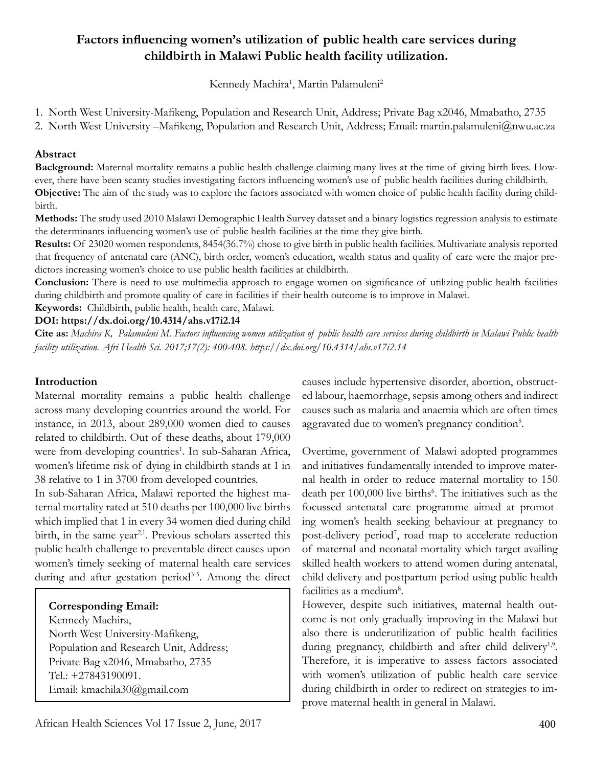# **Factors influencing women's utilization of public health care services during childbirth in Malawi Public health facility utilization.**

Kennedy Machira<sup>1</sup>, Martin Palamuleni<sup>2</sup>

1. North West University-Mafikeng, Population and Research Unit, Address; Private Bag x2046, Mmabatho, 2735

2. North West University –Mafikeng, Population and Research Unit, Address; Email: martin.palamuleni@nwu.ac.za

# **Abstract**

**Background:** Maternal mortality remains a public health challenge claiming many lives at the time of giving birth lives. However, there have been scanty studies investigating factors influencing women's use of public health facilities during childbirth. **Objective:** The aim of the study was to explore the factors associated with women choice of public health facility during childbirth.

**Methods:** The study used 2010 Malawi Demographic Health Survey dataset and a binary logistics regression analysis to estimate the determinants influencing women's use of public health facilities at the time they give birth.

**Results:** Of 23020 women respondents, 8454(36.7%) chose to give birth in public health facilities. Multivariate analysis reported that frequency of antenatal care (ANC), birth order, women's education, wealth status and quality of care were the major predictors increasing women's choice to use public health facilities at childbirth.

**Conclusion:** There is need to use multimedia approach to engage women on significance of utilizing public health facilities during childbirth and promote quality of care in facilities if their health outcome is to improve in Malawi.

**Keywords:** Childbirth, public health, health care, Malawi.

# **DOI: https://dx.doi.org/10.4314/ahs.v17i2.14**

**Cite as:** *Machira K, Palamuleni M. Factors influencing women utilization of public health care services during childbirth in Malawi Public health facility utilization. Afri Health Sci. 2017;17(2): 400-408. https://dx.doi.org/10.4314/ahs.v17i2.14*

# **Introduction**

Maternal mortality remains a public health challenge across many developing countries around the world. For instance, in 2013, about 289,000 women died to causes related to childbirth. Out of these deaths, about 179,000 were from developing countries<sup>1</sup>. In sub-Saharan Africa, women's lifetime risk of dying in childbirth stands at 1 in 38 relative to 1 in 3700 from developed countries.

In sub-Saharan Africa, Malawi reported the highest maternal mortality rated at 510 deaths per 100,000 live births which implied that 1 in every 34 women died during child birth, in the same year<sup>2,1</sup>. Previous scholars asserted this public health challenge to preventable direct causes upon women's timely seeking of maternal health care services during and after gestation period<sup>3-5</sup>. Among the direct

# **Corresponding Email:**

Kennedy Machira, North West University-Mafikeng, Population and Research Unit, Address; Private Bag x2046, Mmabatho, 2735 Tel.: +27843190091. Email: kmachila30@gmail.com

causes include hypertensive disorder, abortion, obstructed labour, haemorrhage, sepsis among others and indirect causes such as malaria and anaemia which are often times aggravated due to women's pregnancy condition<sup>5</sup>.

Overtime, government of Malawi adopted programmes and initiatives fundamentally intended to improve maternal health in order to reduce maternal mortality to 150 death per 100,000 live births<sup>6</sup>. The initiatives such as the focussed antenatal care programme aimed at promoting women's health seeking behaviour at pregnancy to post-delivery period<sup>7</sup>, road map to accelerate reduction of maternal and neonatal mortality which target availing skilled health workers to attend women during antenatal, child delivery and postpartum period using public health facilities as a medium<sup>8</sup>.

However, despite such initiatives, maternal health outcome is not only gradually improving in the Malawi but also there is underutilization of public health facilities during pregnancy, childbirth and after child delivery<sup>1,9</sup>. Therefore, it is imperative to assess factors associated with women's utilization of public health care service during childbirth in order to redirect on strategies to improve maternal health in general in Malawi.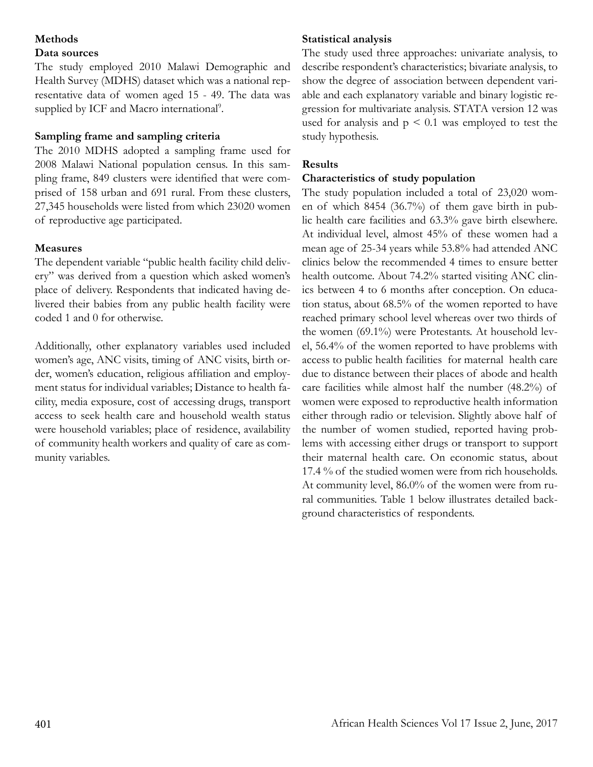# **Methods**

### **Data sources**

The study employed 2010 Malawi Demographic and Health Survey (MDHS) dataset which was a national representative data of women aged 15 - 49. The data was supplied by ICF and Macro international<sup>9</sup>.

# **Sampling frame and sampling criteria**

The 2010 MDHS adopted a sampling frame used for 2008 Malawi National population census. In this sampling frame, 849 clusters were identified that were comprised of 158 urban and 691 rural. From these clusters, 27,345 households were listed from which 23020 women of reproductive age participated.

# **Measures**

The dependent variable "public health facility child delivery" was derived from a question which asked women's place of delivery. Respondents that indicated having delivered their babies from any public health facility were coded 1 and 0 for otherwise.

Additionally, other explanatory variables used included women's age, ANC visits, timing of ANC visits, birth order, women's education, religious affiliation and employment status for individual variables; Distance to health facility, media exposure, cost of accessing drugs, transport access to seek health care and household wealth status were household variables; place of residence, availability of community health workers and quality of care as community variables.

# **Statistical analysis**

The study used three approaches: univariate analysis, to describe respondent's characteristics; bivariate analysis, to show the degree of association between dependent variable and each explanatory variable and binary logistic regression for multivariate analysis. STATA version 12 was used for analysis and  $p < 0.1$  was employed to test the study hypothesis.

# **Results**

# **Characteristics of study population**

The study population included a total of 23,020 women of which 8454 (36.7%) of them gave birth in public health care facilities and 63.3% gave birth elsewhere. At individual level, almost 45% of these women had a mean age of 25-34 years while 53.8% had attended ANC clinics below the recommended 4 times to ensure better health outcome. About 74.2% started visiting ANC clinics between 4 to 6 months after conception. On education status, about 68.5% of the women reported to have reached primary school level whereas over two thirds of the women (69.1%) were Protestants. At household level, 56.4% of the women reported to have problems with access to public health facilities for maternal health care due to distance between their places of abode and health care facilities while almost half the number (48.2%) of women were exposed to reproductive health information either through radio or television. Slightly above half of the number of women studied, reported having problems with accessing either drugs or transport to support their maternal health care. On economic status, about 17.4 % of the studied women were from rich households. At community level, 86.0% of the women were from rural communities. Table 1 below illustrates detailed background characteristics of respondents.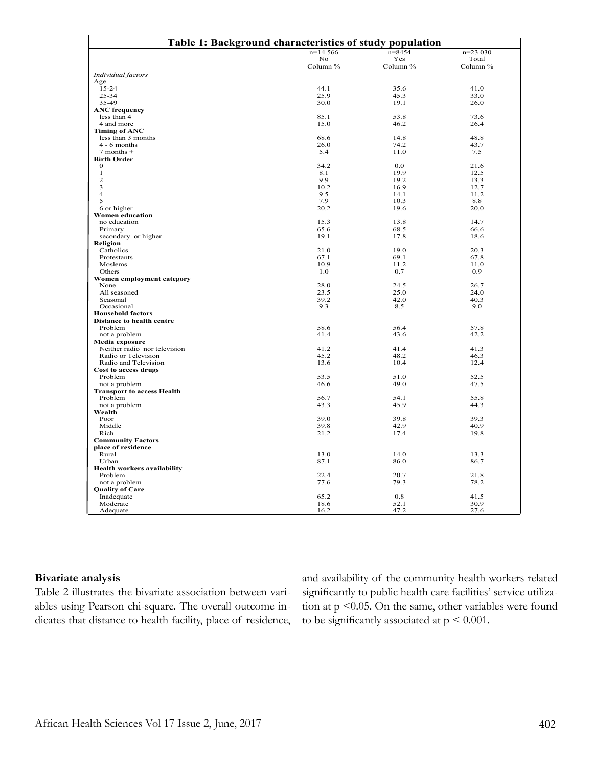| Table 1: Background characteristics of study population |                 |                   |                    |  |
|---------------------------------------------------------|-----------------|-------------------|--------------------|--|
|                                                         | $n=14566$<br>No | $n = 8454$<br>Yes | $n=23030$<br>Total |  |
|                                                         | Column %        | Column %          | Column %           |  |
| Individual factors                                      |                 |                   |                    |  |
| Age<br>$15 - 24$                                        | 44.1            | 35.6              | 41.0               |  |
| 25-34                                                   | 25.9            | 45.3              | 33.0               |  |
| 35-49                                                   | 30.0            | 19.1              | 26.0               |  |
| <b>ANC</b> frequency                                    |                 |                   |                    |  |
| less than 4                                             | 85.1            | 53.8              | 73.6               |  |
| 4 and more                                              | 15.0            | 46.2              | 26.4               |  |
| <b>Timing of ANC</b>                                    |                 |                   |                    |  |
| less than 3 months                                      | 68.6            | 14.8              | 48.8               |  |
| $4 - 6$ months                                          | 26.0            | 74.2              | 43.7               |  |
| $7$ months $+$                                          | 5.4             | 11.0              | 7.5                |  |
| <b>Birth Order</b><br>$\mathbf{0}$                      | 34.2            | 0.0               | 21.6               |  |
| $\mathbf{1}$                                            | 8.1             | 19.9              | 12.5               |  |
| $\overline{2}$                                          | 9.9             | 19.2              | 13.3               |  |
| $\overline{\mathbf{3}}$                                 | 10.2            | 16.9              | 12.7               |  |
| $\overline{4}$                                          | 9.5             | 14.1              | 11.2               |  |
| 5                                                       | 7.9             | 10.3              | 8.8                |  |
| 6 or higher                                             | 20.2            | 19.6              | 20.0               |  |
| <b>Women education</b>                                  |                 |                   |                    |  |
| no education                                            | 15.3            | 13.8              | 14.7               |  |
| Primary                                                 | 65.6            | 68.5              | 66.6               |  |
| secondary or higher                                     | 19.1            | 17.8              | 18.6               |  |
| Religion                                                |                 |                   |                    |  |
| Catholics                                               | 21.0            | 19.0<br>69.1      | 20.3               |  |
| Protestants<br>Moslems                                  | 67.1<br>10.9    | 11.2              | 67.8<br>11.0       |  |
| Others                                                  | 1.0             | 0.7               | 0.9                |  |
| Women employment category                               |                 |                   |                    |  |
| None                                                    | 28.0            | 24.5              | 26.7               |  |
| All seasoned                                            | 23.5            | 25.0              | 24.0               |  |
| Seasonal                                                | 39.2            | 42.0              | 40.3               |  |
| Occasional                                              | 9.3             | 8.5               | 9.0                |  |
| <b>Household factors</b>                                |                 |                   |                    |  |
| <b>Distance to health centre</b>                        |                 |                   |                    |  |
| Problem                                                 | 58.6            | 56.4              | 57.8               |  |
| not a problem                                           | 41.4            | 43.6              | 42.2               |  |
| Media exposure<br>Neither radio nor television          | 41.2            | 41.4              | 41.3               |  |
| Radio or Television                                     | 45.2            | 48.2              | 46.3               |  |
| Radio and Television                                    | 13.6            | 10.4              | 12.4               |  |
| Cost to access drugs                                    |                 |                   |                    |  |
| Problem                                                 | 53.5            | 51.0              | 52.5               |  |
| not a problem                                           | 46.6            | 49.0              | 47.5               |  |
| <b>Transport to access Health</b>                       |                 |                   |                    |  |
| Problem                                                 | 56.7            | 54.1              | 55.8               |  |
| not a problem                                           | 43.3            | 45.9              | 44.3               |  |
| Wealth                                                  |                 |                   |                    |  |
| Poor                                                    | 39.0            | 39.8              | 39.3               |  |
| Middle                                                  | 39.8            | 42.9              | 40.9               |  |
| Rich                                                    | 21.2            | 17.4              | 19.8               |  |
| <b>Community Factors</b><br>place of residence          |                 |                   |                    |  |
| Rural                                                   | 13.0            | 14.0              | 13.3               |  |
| Urban                                                   | 87.1            | 86.0              | 86.7               |  |
| <b>Health workers availability</b>                      |                 |                   |                    |  |
| Problem                                                 | 22.4            | 20.7              | 21.8               |  |
| not a problem                                           | 77.6            | 79.3              | 78.2               |  |
| <b>Quality of Care</b>                                  |                 |                   |                    |  |
| Inadequate                                              | 65.2            | 0.8               | 41.5               |  |
| Moderate                                                | 18.6            | 52.1              | 30.9               |  |
| Adequate                                                | 16.2            | 47.2              | 27.6               |  |

#### **Bivariate analysis**

Table 2 illustrates the bivariate association between variables using Pearson chi-square. The overall outcome indicates that distance to health facility, place of residence, and availability of the community health workers related significantly to public health care facilities' service utilization at p <0.05. On the same, other variables were found to be significantly associated at  $p < 0.001$ .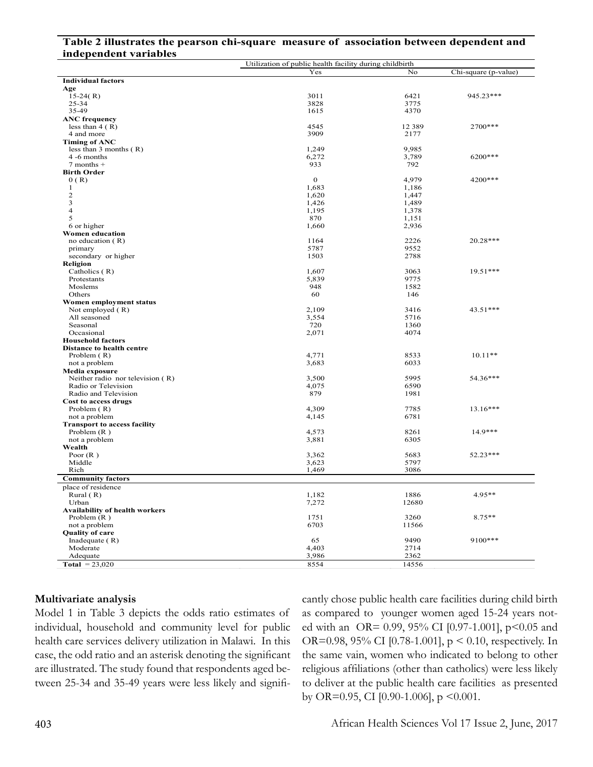| Table 2 illustrates the pearson chi-square measure of association between dependent and |  |  |
|-----------------------------------------------------------------------------------------|--|--|
| independent variables                                                                   |  |  |

|                                               | Utilization of public health facility during childbirth |              |                      |
|-----------------------------------------------|---------------------------------------------------------|--------------|----------------------|
|                                               | Yes                                                     | No           | Chi-square (p-value) |
| <b>Individual factors</b>                     |                                                         |              |                      |
| Age                                           |                                                         |              |                      |
| $15-24(R)$                                    | 3011                                                    | 6421         | 945.23***            |
| 25-34                                         | 3828                                                    | 3775         |                      |
| 35-49                                         | 1615                                                    | 4370         |                      |
| <b>ANC</b> frequency                          |                                                         |              |                      |
| less than $4(R)$                              | 4545                                                    | 12 3 8 9     | 2700***              |
| 4 and more                                    | 3909                                                    | 2177         |                      |
| <b>Timing of ANC</b>                          |                                                         |              |                      |
| less than $3$ months $(R)$                    | 1,249                                                   | 9,985        |                      |
| 4 -6 months                                   | 6,272                                                   | 3,789        | 6200***              |
| $7$ months $+$                                | 933                                                     | 792          |                      |
| <b>Birth Order</b>                            |                                                         |              |                      |
| 0(R)                                          | $\mathbf 0$                                             | 4,979        | 4200***              |
| $\mathbf{1}$                                  | 1,683                                                   | 1,186        |                      |
| $\mathbf{2}$                                  | 1,620                                                   | 1,447        |                      |
| 3                                             | 1,426                                                   | 1,489        |                      |
| $\overline{4}$                                | 1,195                                                   | 1,378        |                      |
| 5                                             | 870                                                     | 1,151        |                      |
| 6 or higher                                   | 1,660                                                   | 2,936        |                      |
| <b>Women education</b>                        |                                                         |              |                      |
| no education $(R)$                            | 1164                                                    | 2226         | $20.28***$           |
| primary                                       | 5787                                                    | 9552         |                      |
| secondary or higher                           | 1503                                                    | 2788         |                      |
| Religion                                      |                                                         |              | 19.51***             |
| Catholics (R)<br>Protestants                  | 1,607<br>5,839                                          | 3063<br>9775 |                      |
| Moslems                                       | 948                                                     | 1582         |                      |
| Others                                        | 60                                                      | 146          |                      |
|                                               |                                                         |              |                      |
| Women employment status<br>Not employed $(R)$ | 2,109                                                   | 3416         | 43.51***             |
| All seasoned                                  | 3,554                                                   | 5716         |                      |
| Seasonal                                      | 720                                                     | 1360         |                      |
| Occasional                                    | 2,071                                                   | 4074         |                      |
| <b>Household factors</b>                      |                                                         |              |                      |
| <b>Distance to health centre</b>              |                                                         |              |                      |
| Problem $(R)$                                 | 4,771                                                   | 8533         | $10.11**$            |
| not a problem                                 | 3,683                                                   | 6033         |                      |
| Media exposure                                |                                                         |              |                      |
| Neither radio nor television (R)              | 3,500                                                   | 5995         | 54.36***             |
| Radio or Television                           | 4,075                                                   | 6590         |                      |
| Radio and Television                          | 879                                                     | 1981         |                      |
| Cost to access drugs                          |                                                         |              |                      |
| Problem $(R)$                                 | 4,309                                                   | 7785         | $13.16***$           |
| not a problem                                 | 4,145                                                   | 6781         |                      |
| <b>Transport to access facility</b>           |                                                         |              |                      |
| Problem $(R)$                                 | 4,573                                                   | 8261         | $14.9***$            |
| not a problem                                 | 3,881                                                   | 6305         |                      |
| Wealth                                        |                                                         |              |                      |
| Poor $(R)$                                    | 3,362                                                   | 5683         | 52.23***             |
| Middle                                        | 3,623                                                   | 5797         |                      |
| Rich                                          | 1,469                                                   | 3086         |                      |
| <b>Community factors</b>                      |                                                         |              |                      |
| place of residence                            |                                                         |              |                      |
| Rural (R)                                     | 1,182                                                   | 1886         | 4.95**               |
| Urban                                         | 7,272                                                   | 12680        |                      |
| Availability of health workers                |                                                         |              |                      |
| Problem $(R)$                                 | 1751                                                    | 3260         | $8.75**$             |
| not a problem                                 | 6703                                                    | 11566        |                      |
| <b>Quality of care</b>                        |                                                         |              |                      |
| Inadequate $(R)$                              | 65                                                      | 9490         | 9100***              |
| Moderate                                      | 4,403                                                   | 2714         |                      |
| Adequate                                      | 3,986                                                   | 2362         |                      |
| Total = $23,020$                              | 8554                                                    | 14556        |                      |

#### **Multivariate analysis**

Model 1 in Table 3 depicts the odds ratio estimates of individual, household and community level for public health care services delivery utilization in Malawi. In this case, the odd ratio and an asterisk denoting the significant are illustrated. The study found that respondents aged between 25-34 and 35-49 years were less likely and significantly chose public health care facilities during child birth as compared to younger women aged 15-24 years noted with an OR= 0.99, 95% CI [0.97-1.001], p<0.05 and OR=0.98, 95% CI [0.78-1.001], p < 0.10, respectively. In the same vain, women who indicated to belong to other religious affiliations (other than catholics) were less likely to deliver at the public health care facilities as presented by OR=0.95, CI [0.90-1.006], p <0.001.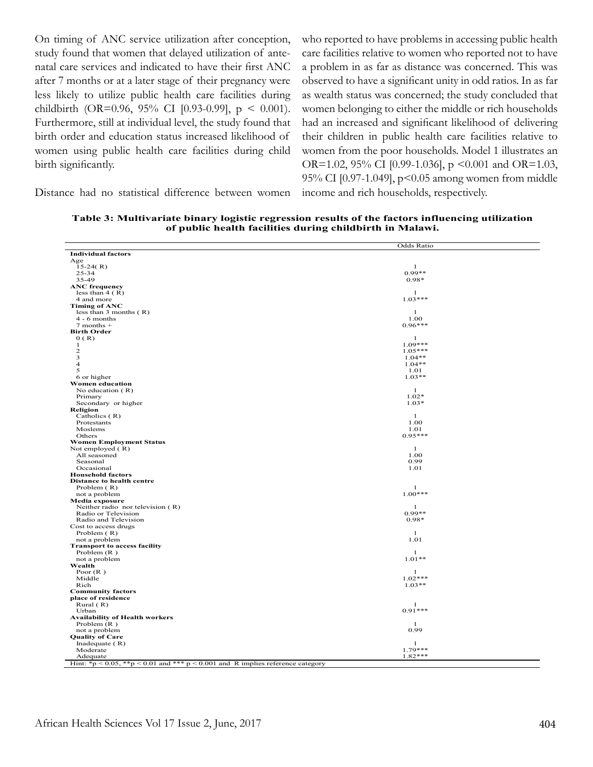On timing of ANC service utilization after conception, study found that women that delayed utilization of antenatal care services and indicated to have their first ANC after 7 months or at a later stage of their pregnancy were less likely to utilize public health care facilities during childbirth (OR=0.96, 95% CI [0.93-0.99],  $p \le 0.001$ ). Furthermore, still at individual level, the study found that birth order and education status increased likelihood of women using public health care facilities during child birth significantly.

who reported to have problems in accessing public health care facilities relative to women who reported not to have a problem in as far as distance was concerned. This was observed to have a significant unity in odd ratios. In as far as wealth status was concerned; the study concluded that women belonging to either the middle or rich households had an increased and significant likelihood of delivering their children in public health care facilities relative to women from the poor households. Model 1 illustrates an OR=1.02, 95% CI [0.99-1.036], p <0.001 and OR=1.03, 95% CI [0.97-1.049], p<0.05 among women from middle income and rich households, respectively.

Distance had no statistical difference between women

**Table 3: Multivariate binary logistic regression results of the factors influencing utilization of public health facilities during childbirth in Malawi.**

|                                                                                | Odds Ratio               |
|--------------------------------------------------------------------------------|--------------------------|
| <b>Individual factors</b>                                                      |                          |
| Age                                                                            |                          |
| $15-24(R)$                                                                     | $\mathbf{1}$             |
| 25-34                                                                          | $0.99**$                 |
| 35-49                                                                          | $0.98*$                  |
| <b>ANC</b> frequency                                                           |                          |
| less than $4(R)$                                                               | $\mathbf{1}$             |
| 4 and more                                                                     | $1.03***$                |
| <b>Timing of ANC</b>                                                           |                          |
| less than $3$ months $(R)$                                                     | $\mathbf{1}$             |
| $4 - 6$ months                                                                 | 1.00                     |
| $7$ months $+$                                                                 | $0.96***$                |
| <b>Birth Order</b>                                                             |                          |
| 0(R)                                                                           | $\mathbf{1}$             |
| $\mathbf{1}$                                                                   | $1.09***$                |
| $\mathbf 2$                                                                    | $1.05***$                |
| 3                                                                              | $1.04***$                |
| $\overline{4}$                                                                 | $1.04**$                 |
| 5                                                                              | 1.01                     |
| 6 or higher                                                                    | $1.03**$                 |
| Women education                                                                |                          |
| No education $(R)$                                                             | -1                       |
| Primary                                                                        | $1.02*$                  |
| Secondary or higher                                                            | $1.03*$                  |
| Religion                                                                       |                          |
| Catholics $(R)$                                                                | $1\,$                    |
| Protestants                                                                    | 1.00                     |
| Moslems                                                                        | 1.01                     |
| Others                                                                         | $0.95***$                |
| <b>Women Employment Status</b>                                                 |                          |
| Not employed (R)                                                               | $\mathbf{1}$             |
| All seasoned                                                                   | 1.00                     |
| Seasonal                                                                       | 0.99                     |
| Occasional                                                                     | 1.01                     |
|                                                                                |                          |
| <b>Household factors</b>                                                       |                          |
| <b>Distance to health centre</b>                                               | $\mathbf{1}$             |
| Problem (R)                                                                    | $1.00***$                |
| not a problem                                                                  |                          |
| Media exposure                                                                 | $\mathbf{1}$             |
| Neither radio nor television (R)                                               | $0.99**$                 |
| Radio or Television                                                            |                          |
| Radio and Television                                                           | $0.98*$                  |
| Cost to access drugs                                                           |                          |
| Problem (R)                                                                    | $\mathbf{1}$             |
| not a problem                                                                  | 1.01                     |
| <b>Transport to access facility</b>                                            |                          |
| Problem $(R)$                                                                  | $\mathbf{1}$<br>$1.01**$ |
| not a problem                                                                  |                          |
| Wealth                                                                         |                          |
| Poor $(R)$                                                                     | 1<br>$1.02***$           |
| Middle                                                                         |                          |
| Rich                                                                           | $1.03**$                 |
| <b>Community factors</b>                                                       |                          |
| place of residence                                                             |                          |
| Rural $(R)$                                                                    | 1                        |
| Urban                                                                          | $0.91***$                |
| <b>Availability of Health workers</b>                                          |                          |
| Problem $(R)$                                                                  | 1                        |
| not a problem                                                                  | 0.99                     |
| <b>Quality of Care</b>                                                         |                          |
| Inadequate $(R)$                                                               | $\mathbf{1}$             |
| Moderate                                                                       | $1.79***$                |
| Adequate                                                                       | $1.82***$                |
| Hint: *p < 0.05, **p < 0.01 and *** p < 0.001 and R implies reference category |                          |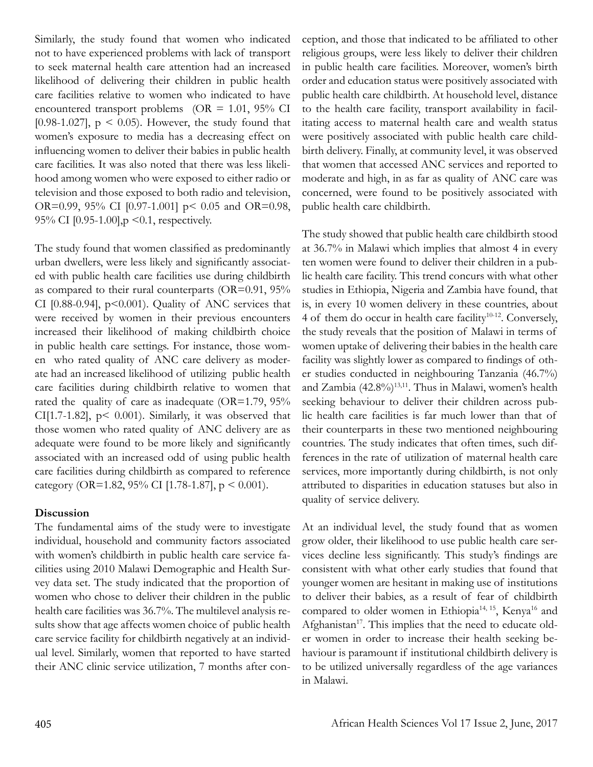Similarly, the study found that women who indicated not to have experienced problems with lack of transport to seek maternal health care attention had an increased likelihood of delivering their children in public health care facilities relative to women who indicated to have encountered transport problems ( $OR = 1.01$ , 95% CI [0.98-1.027],  $p \le 0.05$ ). However, the study found that women's exposure to media has a decreasing effect on influencing women to deliver their babies in public health care facilities. It was also noted that there was less likelihood among women who were exposed to either radio or television and those exposed to both radio and television, OR=0.99, 95% CI [0.97-1.001] p< 0.05 and OR=0.98, 95% CI [0.95-1.00],p <0.1, respectively.

The study found that women classified as predominantly urban dwellers, were less likely and significantly associated with public health care facilities use during childbirth as compared to their rural counterparts (OR=0.91, 95% CI  $[0.88-0.94]$ ,  $p<0.001$ ). Quality of ANC services that were received by women in their previous encounters increased their likelihood of making childbirth choice in public health care settings. For instance, those women who rated quality of ANC care delivery as moderate had an increased likelihood of utilizing public health care facilities during childbirth relative to women that rated the quality of care as inadequate (OR=1.79, 95%) CI[1.7-1.82],  $p$ < 0.001). Similarly, it was observed that those women who rated quality of ANC delivery are as adequate were found to be more likely and significantly associated with an increased odd of using public health care facilities during childbirth as compared to reference category (OR=1.82, 95% CI [1.78-1.87],  $p \le 0.001$ ).

# **Discussion**

The fundamental aims of the study were to investigate individual, household and community factors associated with women's childbirth in public health care service facilities using 2010 Malawi Demographic and Health Survey data set. The study indicated that the proportion of women who chose to deliver their children in the public health care facilities was 36.7%. The multilevel analysis results show that age affects women choice of public health care service facility for childbirth negatively at an individual level. Similarly, women that reported to have started their ANC clinic service utilization, 7 months after conception, and those that indicated to be affiliated to other religious groups, were less likely to deliver their children in public health care facilities. Moreover, women's birth order and education status were positively associated with public health care childbirth. At household level, distance to the health care facility, transport availability in facilitating access to maternal health care and wealth status were positively associated with public health care childbirth delivery. Finally, at community level, it was observed that women that accessed ANC services and reported to moderate and high, in as far as quality of ANC care was concerned, were found to be positively associated with public health care childbirth.

The study showed that public health care childbirth stood at 36.7% in Malawi which implies that almost 4 in every ten women were found to deliver their children in a public health care facility. This trend concurs with what other studies in Ethiopia, Nigeria and Zambia have found, that is, in every 10 women delivery in these countries, about 4 of them do occur in health care facility<sup>10-12</sup>. Conversely, the study reveals that the position of Malawi in terms of women uptake of delivering their babies in the health care facility was slightly lower as compared to findings of other studies conducted in neighbouring Tanzania (46.7%) and Zambia  $(42.8\%)^{13,11}$ . Thus in Malawi, women's health seeking behaviour to deliver their children across public health care facilities is far much lower than that of their counterparts in these two mentioned neighbouring countries. The study indicates that often times, such differences in the rate of utilization of maternal health care services, more importantly during childbirth, is not only attributed to disparities in education statuses but also in quality of service delivery.

At an individual level, the study found that as women grow older, their likelihood to use public health care services decline less significantly. This study's findings are consistent with what other early studies that found that younger women are hesitant in making use of institutions to deliver their babies, as a result of fear of childbirth compared to older women in Ethiopia<sup>14, 15</sup>, Kenya<sup>16</sup> and Afghanistan<sup>17</sup>. This implies that the need to educate older women in order to increase their health seeking behaviour is paramount if institutional childbirth delivery is to be utilized universally regardless of the age variances in Malawi.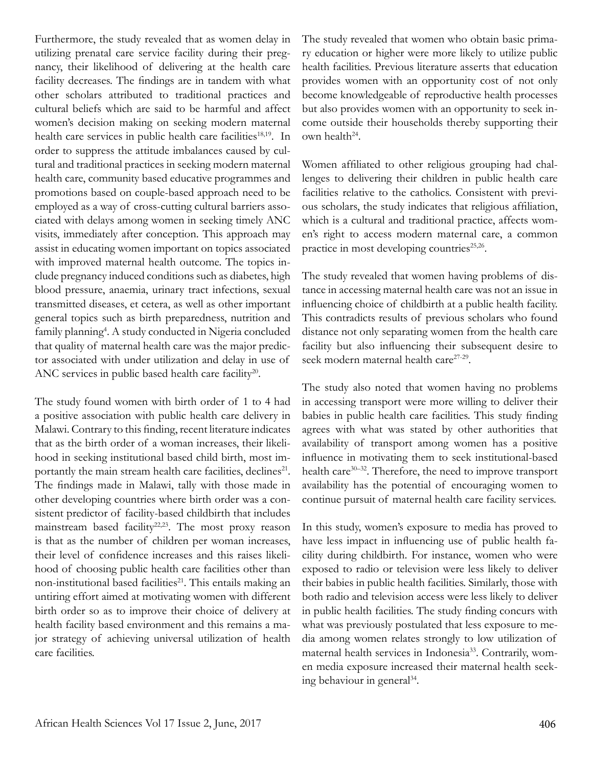Furthermore, the study revealed that as women delay in utilizing prenatal care service facility during their pregnancy, their likelihood of delivering at the health care facility decreases. The findings are in tandem with what other scholars attributed to traditional practices and cultural beliefs which are said to be harmful and affect women's decision making on seeking modern maternal health care services in public health care facilities<sup>18,19</sup>. In order to suppress the attitude imbalances caused by cultural and traditional practices in seeking modern maternal health care, community based educative programmes and promotions based on couple-based approach need to be employed as a way of cross-cutting cultural barriers associated with delays among women in seeking timely ANC visits, immediately after conception. This approach may assist in educating women important on topics associated with improved maternal health outcome. The topics include pregnancy induced conditions such as diabetes, high blood pressure, anaemia, urinary tract infections, sexual transmitted diseases, et cetera, as well as other important general topics such as birth preparedness, nutrition and family planning<sup>4</sup>. A study conducted in Nigeria concluded that quality of maternal health care was the major predictor associated with under utilization and delay in use of ANC services in public based health care facility<sup>20</sup>.

The study found women with birth order of 1 to 4 had a positive association with public health care delivery in Malawi. Contrary to this finding, recent literature indicates that as the birth order of a woman increases, their likelihood in seeking institutional based child birth, most importantly the main stream health care facilities, declines<sup>21</sup>. The findings made in Malawi, tally with those made in other developing countries where birth order was a consistent predictor of facility-based childbirth that includes mainstream based facility<sup>22,23</sup>. The most proxy reason is that as the number of children per woman increases, their level of confidence increases and this raises likelihood of choosing public health care facilities other than non-institutional based facilities<sup>21</sup>. This entails making an untiring effort aimed at motivating women with different birth order so as to improve their choice of delivery at health facility based environment and this remains a major strategy of achieving universal utilization of health care facilities.

The study revealed that women who obtain basic primary education or higher were more likely to utilize public health facilities. Previous literature asserts that education provides women with an opportunity cost of not only become knowledgeable of reproductive health processes but also provides women with an opportunity to seek income outside their households thereby supporting their own health $24$ .

Women affiliated to other religious grouping had challenges to delivering their children in public health care facilities relative to the catholics. Consistent with previous scholars, the study indicates that religious affiliation, which is a cultural and traditional practice, affects women's right to access modern maternal care, a common practice in most developing countries<sup>25,26</sup>.

The study revealed that women having problems of distance in accessing maternal health care was not an issue in influencing choice of childbirth at a public health facility. This contradicts results of previous scholars who found distance not only separating women from the health care facility but also influencing their subsequent desire to seek modern maternal health care<sup>27-29</sup>.

The study also noted that women having no problems in accessing transport were more willing to deliver their babies in public health care facilities. This study finding agrees with what was stated by other authorities that availability of transport among women has a positive influence in motivating them to seek institutional-based health care<sup>30–32</sup>. Therefore, the need to improve transport availability has the potential of encouraging women to continue pursuit of maternal health care facility services.

In this study, women's exposure to media has proved to have less impact in influencing use of public health facility during childbirth. For instance, women who were exposed to radio or television were less likely to deliver their babies in public health facilities. Similarly, those with both radio and television access were less likely to deliver in public health facilities. The study finding concurs with what was previously postulated that less exposure to media among women relates strongly to low utilization of maternal health services in Indonesia<sup>33</sup>. Contrarily, women media exposure increased their maternal health seeking behaviour in general<sup>34</sup>.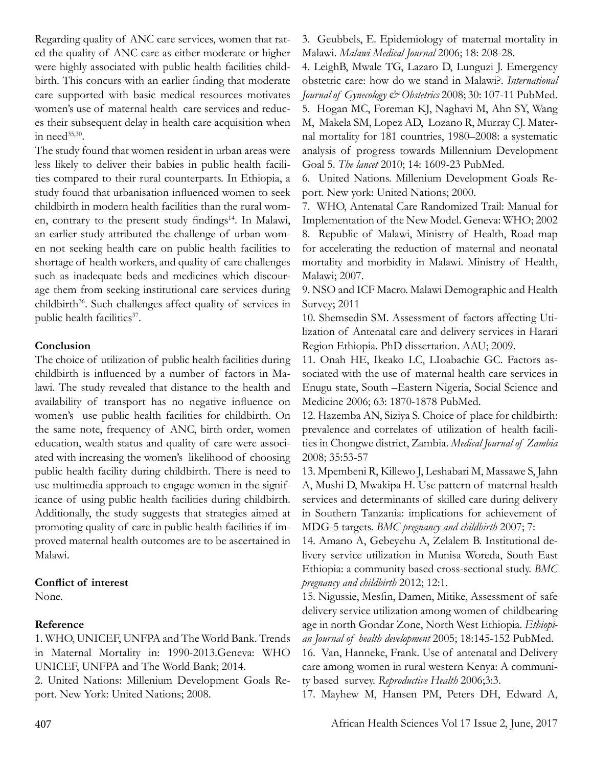Regarding quality of ANC care services, women that rated the quality of ANC care as either moderate or higher were highly associated with public health facilities childbirth. This concurs with an earlier finding that moderate care supported with basic medical resources motivates women's use of maternal health care services and reduces their subsequent delay in health care acquisition when in need $35,30$ .

The study found that women resident in urban areas were less likely to deliver their babies in public health facilities compared to their rural counterparts. In Ethiopia, a study found that urbanisation influenced women to seek childbirth in modern health facilities than the rural women, contrary to the present study findings<sup>14</sup>. In Malawi, an earlier study attributed the challenge of urban women not seeking health care on public health facilities to shortage of health workers, and quality of care challenges such as inadequate beds and medicines which discourage them from seeking institutional care services during childbirth<sup>36</sup>. Such challenges affect quality of services in public health facilities<sup>37</sup>.

### **Conclusion**

The choice of utilization of public health facilities during childbirth is influenced by a number of factors in Malawi. The study revealed that distance to the health and availability of transport has no negative influence on women's use public health facilities for childbirth. On the same note, frequency of ANC, birth order, women education, wealth status and quality of care were associated with increasing the women's likelihood of choosing public health facility during childbirth. There is need to use multimedia approach to engage women in the significance of using public health facilities during childbirth. Additionally, the study suggests that strategies aimed at promoting quality of care in public health facilities if improved maternal health outcomes are to be ascertained in Malawi.

#### **Conflict of interest**

None.

# **Reference**

1. WHO, UNICEF, UNFPA and The World Bank. Trends in Maternal Mortality in: 1990-2013.Geneva: WHO UNICEF, UNFPA and The World Bank; 2014.

2. United Nations: Millenium Development Goals Report. New York: United Nations; 2008.

3. Geubbels, E. Epidemiology of maternal mortality in Malawi. *Malawi Medical Journal* 2006; 18: 208-28.

4. LeighB, Mwale TG, Lazaro D, Lunguzi J. Emergency obstetric care: how do we stand in Malawi?. *International Journal of Gynecology & Obstetrics* 2008; 30: 107-11 PubMed. 5. Hogan MC, Foreman KJ, Naghavi M, Ahn SY, Wang M, Makela SM, Lopez AD, Lozano R, Murray CJ. Maternal mortality for 181 countries, 1980–2008: a systematic analysis of progress towards Millennium Development Goal 5. *The lancet* 2010; 14: 1609-23 PubMed.

6. United Nations. Millenium Development Goals Report. New york: United Nations; 2000.

7. WHO, Antenatal Care Randomized Trail: Manual for Implementation of the New Model. Geneva: WHO; 2002 8. Republic of Malawi, Ministry of Health, Road map for accelerating the reduction of maternal and neonatal mortality and morbidity in Malawi. Ministry of Health, Malawi; 2007.

9. NSO and ICF Macro. Malawi Demographic and Health Survey; 2011

10. Shemsedin SM. Assessment of factors affecting Utilization of Antenatal care and delivery services in Harari Region Ethiopia. PhD dissertation. AAU; 2009.

11. Onah HE, Ikeako LC, LIoabachie GC. Factors associated with the use of maternal health care services in Enugu state, South –Eastern Nigeria, Social Science and Medicine 2006; 63: 1870-1878 PubMed.

12. Hazemba AN, Siziya S. Choice of place for childbirth: prevalence and correlates of utilization of health facilities in Chongwe district, Zambia. *Medical Journal of Zambia*  2008; 35:53-57

13. Mpembeni R, Killewo J, Leshabari M, Massawe S, Jahn A, Mushi D, Mwakipa H. Use pattern of maternal health services and determinants of skilled care during delivery in Southern Tanzania: implications for achievement of MDG-5 targets. *BMC pregnancy and childbirth* 2007; 7:

14. Amano A, Gebeyehu A, Zelalem B. Institutional delivery service utilization in Munisa Woreda, South East Ethiopia: a community based cross-sectional study. *BMC pregnancy and childbirth* 2012; 12:1.

15. Nigussie, Mesfin, Damen, Mitike, Assessment of safe delivery service utilization among women of childbearing age in north Gondar Zone, North West Ethiopia. *Ethiopian Journal of health development* 2005; 18:145-152 PubMed.

16. Van, Hanneke, Frank. Use of antenatal and Delivery care among women in rural western Kenya: A community based survey. *Reproductive Health* 2006;3:3.

17. Mayhew M, Hansen PM, Peters DH, Edward A,